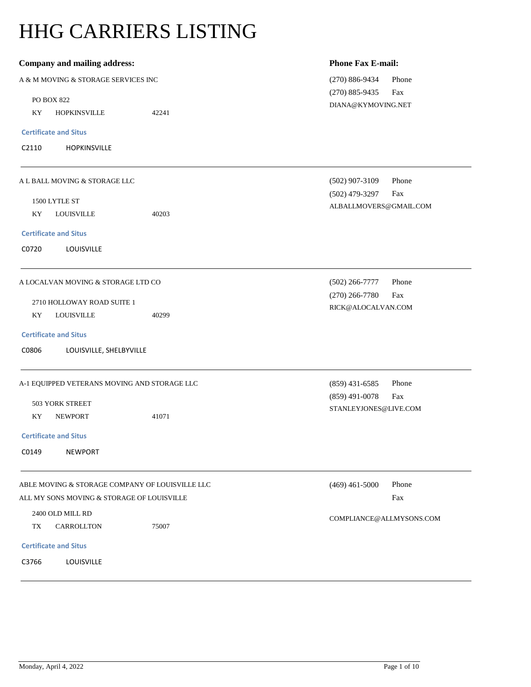# HHG CARRIERS LISTING

| Company and mailing address:                    |       | <b>Phone Fax E-mail:</b>    |
|-------------------------------------------------|-------|-----------------------------|
| A & M MOVING & STORAGE SERVICES INC             |       | $(270) 886 - 9434$<br>Phone |
| PO BOX 822                                      |       | $(270) 885 - 9435$<br>Fax   |
| KY<br><b>HOPKINSVILLE</b>                       | 42241 | DIANA@KYMOVING.NET          |
|                                                 |       |                             |
| <b>Certificate and Situs</b>                    |       |                             |
| C2110<br>HOPKINSVILLE                           |       |                             |
| A L BALL MOVING & STORAGE LLC                   |       | $(502)$ 907-3109<br>Phone   |
| 1500 LYTLE ST                                   |       | $(502)$ 479-3297<br>Fax     |
| KY<br><b>LOUISVILLE</b>                         | 40203 | ALBALLMOVERS@GMAIL.COM      |
|                                                 |       |                             |
| <b>Certificate and Situs</b>                    |       |                             |
| C0720<br>LOUISVILLE                             |       |                             |
| A LOCALVAN MOVING & STORAGE LTD CO              |       | Phone<br>$(502)$ 266-7777   |
| 2710 HOLLOWAY ROAD SUITE 1                      |       | $(270)$ 266-7780<br>Fax     |
| KY<br><b>LOUISVILLE</b>                         | 40299 | RICK@ALOCALVAN.COM          |
|                                                 |       |                             |
| <b>Certificate and Situs</b>                    |       |                             |
| C0806<br>LOUISVILLE, SHELBYVILLE                |       |                             |
| A-1 EQUIPPED VETERANS MOVING AND STORAGE LLC    |       | Phone<br>$(859)$ 431-6585   |
| 503 YORK STREET                                 |       | $(859)$ 491-0078<br>Fax     |
| KY<br><b>NEWPORT</b>                            | 41071 | STANLEYJONES@LIVE.COM       |
|                                                 |       |                             |
| <b>Certificate and Situs</b>                    |       |                             |
| C0149<br><b>NEWPORT</b>                         |       |                             |
| ABLE MOVING & STORAGE COMPANY OF LOUISVILLE LLC |       | $(469)$ 461-5000<br>Phone   |
| ALL MY SONS MOVING & STORAGE OF LOUISVILLE      |       | Fax                         |
| 2400 OLD MILL RD                                |       | COMPLIANCE@ALLMYSONS.COM    |
| TX<br>CARROLLTON                                | 75007 |                             |
| <b>Certificate and Situs</b>                    |       |                             |
| C3766<br>LOUISVILLE                             |       |                             |
|                                                 |       |                             |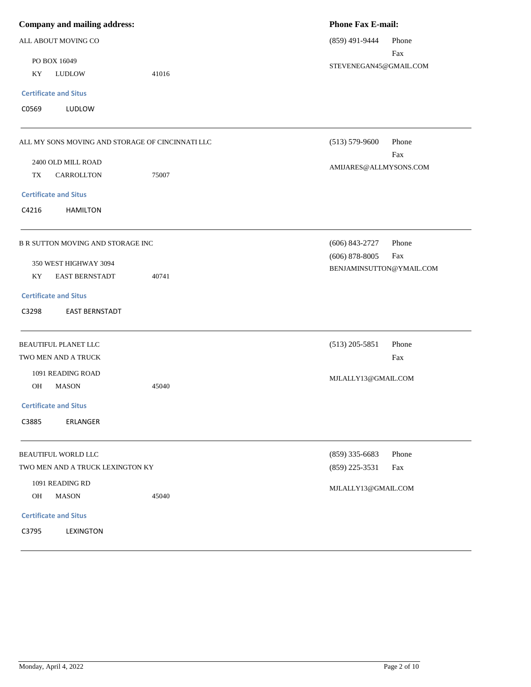| <b>Company and mailing address:</b>              |       | <b>Phone Fax E-mail:</b> |       |
|--------------------------------------------------|-------|--------------------------|-------|
| ALL ABOUT MOVING CO                              |       | $(859)$ 491-9444         | Phone |
| PO BOX 16049                                     |       | STEVENEGAN45@GMAIL.COM   | Fax   |
| KY<br><b>LUDLOW</b>                              | 41016 |                          |       |
| <b>Certificate and Situs</b>                     |       |                          |       |
| C0569<br>LUDLOW                                  |       |                          |       |
| ALL MY SONS MOVING AND STORAGE OF CINCINNATI LLC |       | $(513) 579 - 9600$       | Phone |
| 2400 OLD MILL ROAD                               |       |                          | Fax   |
| TX<br>CARROLLTON                                 | 75007 | AMIJARES@ALLMYSONS.COM   |       |
| <b>Certificate and Situs</b>                     |       |                          |       |
| C4216<br><b>HAMILTON</b>                         |       |                          |       |
| B R SUTTON MOVING AND STORAGE INC                |       | $(606)$ 843-2727         | Phone |
| 350 WEST HIGHWAY 3094                            |       | $(606)$ 878-8005         | Fax   |
| KY<br><b>EAST BERNSTADT</b>                      | 40741 | BENJAMINSUTTON@YMAIL.COM |       |
| <b>Certificate and Situs</b>                     |       |                          |       |
| C3298<br><b>EAST BERNSTADT</b>                   |       |                          |       |
| <b>BEAUTIFUL PLANET LLC</b>                      |       | $(513)$ 205-5851         | Phone |
| TWO MEN AND A TRUCK                              |       |                          | Fax   |
| 1091 READING ROAD                                |       | MJLALLY13@GMAIL.COM      |       |
| OH<br>MASON                                      | 45040 |                          |       |
| <b>Certificate and Situs</b>                     |       |                          |       |
| C3885<br>ERLANGER                                |       |                          |       |
| <b>BEAUTIFUL WORLD LLC</b>                       |       | $(859)$ 335-6683         | Phone |
| TWO MEN AND A TRUCK LEXINGTON KY                 |       | $(859)$ 225-3531         | Fax   |
| 1091 READING RD                                  |       | MJLALLY13@GMAIL.COM      |       |
| <b>MASON</b><br><b>OH</b>                        | 45040 |                          |       |
| <b>Certificate and Situs</b>                     |       |                          |       |
| C3795<br>LEXINGTON                               |       |                          |       |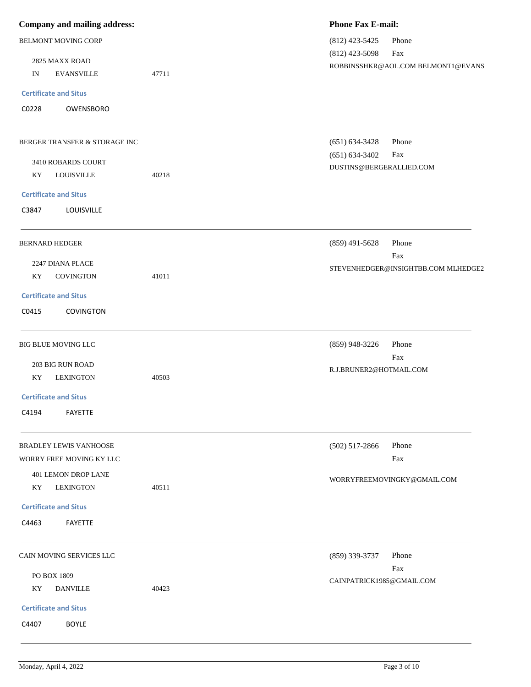| Company and mailing address:     |       | <b>Phone Fax E-mail:</b>            |
|----------------------------------|-------|-------------------------------------|
| BELMONT MOVING CORP              |       | $(812)$ 423-5425<br>Phone           |
|                                  |       | $(812)$ 423-5098<br>Fax             |
| 2825 MAXX ROAD                   |       | ROBBINSSHKR@AOL.COM BELMONT1@EVANS  |
| <b>EVANSVILLE</b><br>$_{\rm IN}$ | 47711 |                                     |
| <b>Certificate and Situs</b>     |       |                                     |
| C0228<br>OWENSBORO               |       |                                     |
|                                  |       |                                     |
| BERGER TRANSFER & STORAGE INC    |       | Phone<br>$(651) 634 - 3428$         |
|                                  |       | $(651) 634 - 3402$<br>Fax           |
| 3410 ROBARDS COURT               |       | DUSTINS@BERGERALLIED.COM            |
| <b>LOUISVILLE</b><br>KY          | 40218 |                                     |
| <b>Certificate and Situs</b>     |       |                                     |
| C3847<br>LOUISVILLE              |       |                                     |
|                                  |       |                                     |
| <b>BERNARD HEDGER</b>            |       | $(859)$ 491-5628<br>Phone           |
|                                  |       | Fax                                 |
| 2247 DIANA PLACE                 |       | STEVENHEDGER@INSIGHTBB.COM MLHEDGE2 |
| <b>COVINGTON</b><br>KY           | 41011 |                                     |
| <b>Certificate and Situs</b>     |       |                                     |
| C0415<br><b>COVINGTON</b>        |       |                                     |
|                                  |       |                                     |
| BIG BLUE MOVING LLC              |       | Phone<br>$(859)$ 948-3226           |
| 203 BIG RUN ROAD                 |       | Fax                                 |
| <b>LEXINGTON</b><br>KY.          | 40503 | R.J.BRUNER2@HOTMAIL.COM             |
|                                  |       |                                     |
| <b>Certificate and Situs</b>     |       |                                     |
| C4194<br><b>FAYETTE</b>          |       |                                     |
|                                  |       |                                     |
| BRADLEY LEWIS VANHOOSE           |       | $(502)$ 517-2866<br>Phone           |
| WORRY FREE MOVING KY LLC         |       | Fax                                 |
| <b>401 LEMON DROP LANE</b>       |       | WORRYFREEMOVINGKY@GMAIL.COM         |
| <b>LEXINGTON</b><br>KY           | 40511 |                                     |
| <b>Certificate and Situs</b>     |       |                                     |
| C4463<br>FAYETTE                 |       |                                     |
|                                  |       |                                     |
|                                  |       |                                     |
| CAIN MOVING SERVICES LLC         |       | (859) 339-3737<br>Phone             |
| PO BOX 1809                      |       | Fax<br>CAINPATRICK1985@GMAIL.COM    |
| KY<br><b>DANVILLE</b>            | 40423 |                                     |
| <b>Certificate and Situs</b>     |       |                                     |
| C4407<br><b>BOYLE</b>            |       |                                     |
|                                  |       |                                     |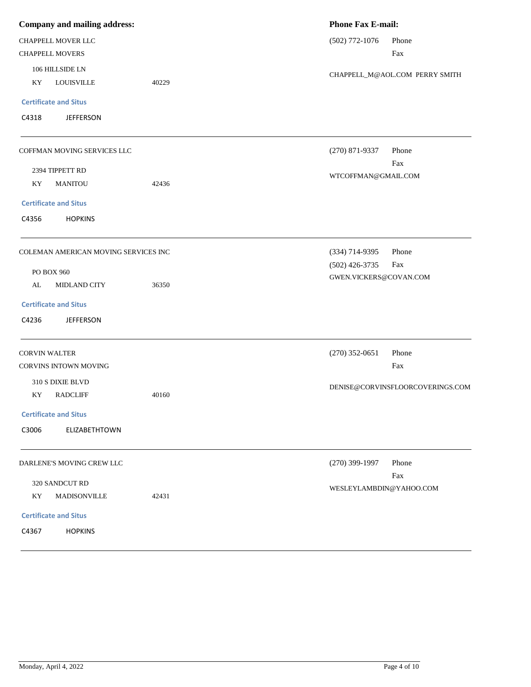| Company and mailing address: |                                               | <b>Phone Fax E-mail:</b> |                                |                                  |
|------------------------------|-----------------------------------------------|--------------------------|--------------------------------|----------------------------------|
| CHAPPELL MOVER LLC           |                                               | $(502)$ 772-1076         | Phone                          |                                  |
| <b>CHAPPELL MOVERS</b>       |                                               |                          |                                | Fax                              |
| 106 HILLSIDE LN              |                                               |                          | CHAPPELL_M@AOL.COM PERRY SMITH |                                  |
| KY                           | <b>LOUISVILLE</b>                             | 40229                    |                                |                                  |
|                              | <b>Certificate and Situs</b>                  |                          |                                |                                  |
| C4318                        | <b>JEFFERSON</b>                              |                          |                                |                                  |
|                              | COFFMAN MOVING SERVICES LLC                   |                          | $(270)$ 871-9337               | Phone                            |
|                              | 2394 TIPPETT RD                               |                          |                                | Fax                              |
| KY                           | <b>MANITOU</b>                                | 42436                    | WTCOFFMAN@GMAIL.COM            |                                  |
|                              | <b>Certificate and Situs</b>                  |                          |                                |                                  |
| C4356                        | <b>HOPKINS</b>                                |                          |                                |                                  |
|                              | COLEMAN AMERICAN MOVING SERVICES INC          |                          | (334) 714-9395                 | Phone                            |
|                              | PO BOX 960                                    |                          | $(502)$ 426-3735               | Fax                              |
| AL                           | MIDLAND CITY                                  | 36350                    | GWEN.VICKERS@COVAN.COM         |                                  |
|                              | <b>Certificate and Situs</b>                  |                          |                                |                                  |
| C4236                        | <b>JEFFERSON</b>                              |                          |                                |                                  |
|                              | <b>CORVIN WALTER</b><br>CORVINS INTOWN MOVING |                          | $(270)$ 352-0651               | Phone<br>Fax                     |
|                              | 310 S DIXIE BLVD                              |                          |                                | DENISE@CORVINSFLOORCOVERINGS.COM |
| KY                           | <b>RADCLIFF</b>                               | 40160                    |                                |                                  |
|                              | <b>Certificate and Situs</b>                  |                          |                                |                                  |
| C3006                        | ELIZABETHTOWN                                 |                          |                                |                                  |
|                              | DARLENE'S MOVING CREW LLC                     |                          | $(270)$ 399-1997               | Phone                            |
|                              | 320 SANDCUT RD                                |                          |                                | Fax                              |
| KY                           | MADISONVILLE                                  | 42431                    | WESLEYLAMBDIN@YAHOO.COM        |                                  |
|                              | <b>Certificate and Situs</b>                  |                          |                                |                                  |
| C4367                        | <b>HOPKINS</b>                                |                          |                                |                                  |
|                              |                                               |                          |                                |                                  |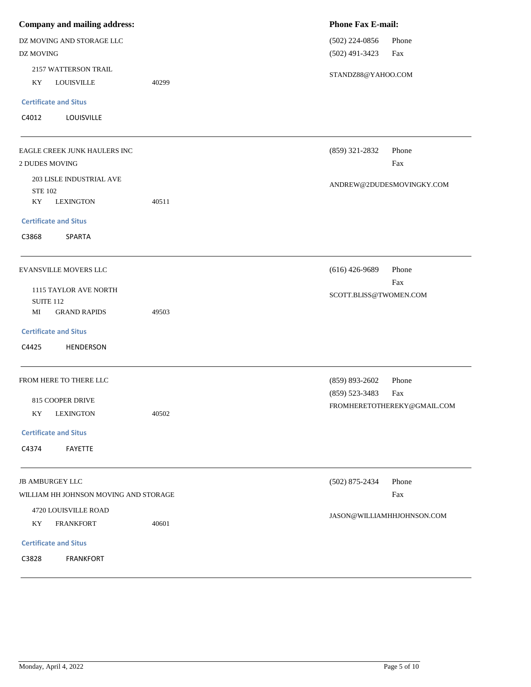| <b>Company and mailing address:</b>                      |       | <b>Phone Fax E-mail:</b>   |                             |  |
|----------------------------------------------------------|-------|----------------------------|-----------------------------|--|
| DZ MOVING AND STORAGE LLC                                |       | $(502)$ 224-0856           | Phone                       |  |
| DZ MOVING                                                |       | $(502)$ 491-3423           | Fax                         |  |
| 2157 WATTERSON TRAIL<br>KY<br><b>LOUISVILLE</b><br>40299 |       | STANDZ88@YAHOO.COM         |                             |  |
| <b>Certificate and Situs</b>                             |       |                            |                             |  |
| C4012<br>LOUISVILLE                                      |       |                            |                             |  |
| EAGLE CREEK JUNK HAULERS INC                             |       | $(859)$ 321-2832           | Phone                       |  |
| 2 DUDES MOVING                                           |       |                            | Fax                         |  |
| 203 LISLE INDUSTRIAL AVE<br><b>STE 102</b>               |       |                            | ANDREW@2DUDESMOVINGKY.COM   |  |
| KY<br><b>LEXINGTON</b>                                   | 40511 |                            |                             |  |
| <b>Certificate and Situs</b>                             |       |                            |                             |  |
| C3868<br>SPARTA                                          |       |                            |                             |  |
| EVANSVILLE MOVERS LLC                                    |       | $(616)$ 426-9689           | Phone                       |  |
| 1115 TAYLOR AVE NORTH                                    |       |                            | Fax                         |  |
| <b>SUITE 112</b>                                         |       | SCOTT.BLISS@TWOMEN.COM     |                             |  |
| MI<br><b>GRAND RAPIDS</b>                                | 49503 |                            |                             |  |
| <b>Certificate and Situs</b>                             |       |                            |                             |  |
| C4425<br>HENDERSON                                       |       |                            |                             |  |
| FROM HERE TO THERE LLC                                   |       | $(859) 893 - 2602$         | Phone                       |  |
| 815 COOPER DRIVE                                         |       | $(859) 523 - 3483$         | Fax                         |  |
| KY<br><b>LEXINGTON</b>                                   | 40502 |                            | FROMHERETOTHEREKY@GMAIL.COM |  |
| <b>Certificate and Situs</b>                             |       |                            |                             |  |
| C4374<br><b>FAYETTE</b>                                  |       |                            |                             |  |
| <b>JB AMBURGEY LLC</b>                                   |       | $(502)$ 875-2434           | Phone                       |  |
| WILLIAM HH JOHNSON MOVING AND STORAGE                    |       |                            | Fax                         |  |
| 4720 LOUISVILLE ROAD                                     |       | JASON@WILLIAMHHJOHNSON.COM |                             |  |
| KY<br><b>FRANKFORT</b>                                   | 40601 |                            |                             |  |
| <b>Certificate and Situs</b>                             |       |                            |                             |  |
| C3828<br><b>FRANKFORT</b>                                |       |                            |                             |  |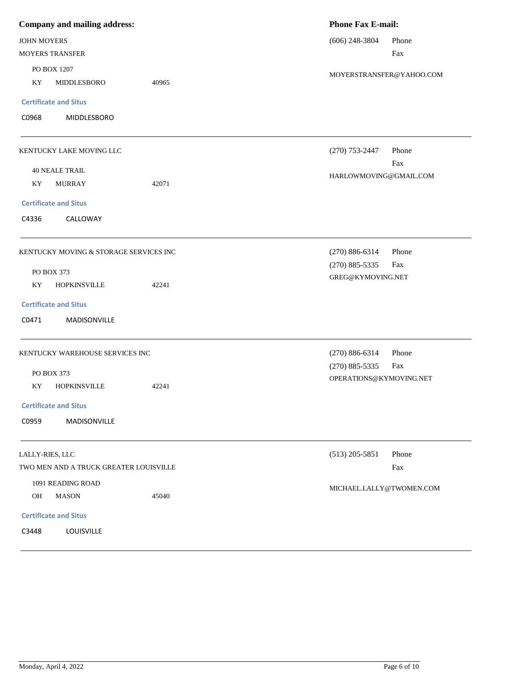| <b>Company and mailing address:</b>   |                                        | <b>Phone Fax E-mail:</b> |                          |                               |       |  |
|---------------------------------------|----------------------------------------|--------------------------|--------------------------|-------------------------------|-------|--|
| JOHN MOYERS<br><b>MOYERS TRANSFER</b> |                                        |                          |                          | $(606)$ 248-3804              | Phone |  |
|                                       |                                        |                          |                          | Fax                           |       |  |
| PO BOX 1207                           |                                        |                          | MOYERSTRANSFER@YAHOO.COM |                               |       |  |
| KY                                    | MIDDLESBORO                            | 40965                    |                          |                               |       |  |
|                                       | <b>Certificate and Situs</b>           |                          |                          |                               |       |  |
| C0968                                 | MIDDLESBORO                            |                          |                          |                               |       |  |
|                                       | KENTUCKY LAKE MOVING LLC               |                          |                          | $(270)$ 753-2447              | Phone |  |
|                                       | <b>40 NEALE TRAIL</b>                  |                          |                          | Fax<br>HARLOWMOVING@GMAIL.COM |       |  |
| KY                                    | <b>MURRAY</b>                          | 42071                    |                          |                               |       |  |
|                                       | <b>Certificate and Situs</b>           |                          |                          |                               |       |  |
| C4336                                 | CALLOWAY                               |                          |                          |                               |       |  |
|                                       | KENTUCKY MOVING & STORAGE SERVICES INC |                          |                          | $(270) 886 - 6314$            | Phone |  |
|                                       | PO BOX 373                             |                          |                          | $(270) 885 - 5335$            | Fax   |  |
| KY                                    | <b>HOPKINSVILLE</b>                    | 42241                    |                          | GREG@KYMOVING.NET             |       |  |
|                                       | <b>Certificate and Situs</b>           |                          |                          |                               |       |  |
| C0471                                 | MADISONVILLE                           |                          |                          |                               |       |  |
|                                       | KENTUCKY WAREHOUSE SERVICES INC        |                          |                          | $(270) 886 - 6314$            | Phone |  |
|                                       | PO BOX 373                             |                          |                          | $(270) 885 - 5335$            | Fax   |  |
| KY                                    | <b>HOPKINSVILLE</b>                    | 42241                    |                          | OPERATIONS@KYMOVING.NET       |       |  |
|                                       | <b>Certificate and Situs</b>           |                          |                          |                               |       |  |
| C0959                                 | MADISONVILLE                           |                          |                          |                               |       |  |
| LALLY-RIES, LLC                       |                                        |                          |                          | $(513)$ 205-5851              | Phone |  |
|                                       | TWO MEN AND A TRUCK GREATER LOUISVILLE |                          |                          |                               | Fax   |  |
| 1091 READING ROAD                     |                                        | MICHAEL.LALLY@TWOMEN.COM |                          |                               |       |  |
| OH                                    | <b>MASON</b>                           | 45040                    |                          |                               |       |  |
|                                       | <b>Certificate and Situs</b>           |                          |                          |                               |       |  |
| C3448                                 | LOUISVILLE                             |                          |                          |                               |       |  |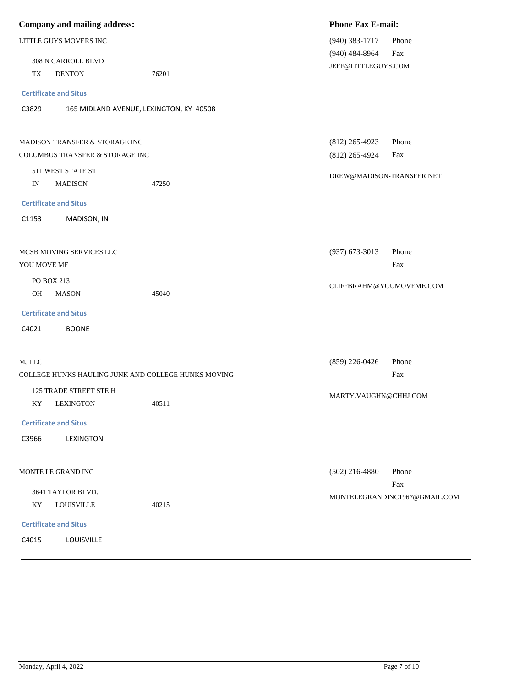| Company and mailing address:                        | <b>Phone Fax E-mail:</b>      |
|-----------------------------------------------------|-------------------------------|
| LITTLE GUYS MOVERS INC                              | $(940)$ 383-1717<br>Phone     |
|                                                     | $(940)$ 484-8964<br>Fax       |
| 308 N CARROLL BLVD                                  | JEFF@LITTLEGUYS.COM           |
| TX<br><b>DENTON</b><br>76201                        |                               |
| <b>Certificate and Situs</b>                        |                               |
| C3829<br>165 MIDLAND AVENUE, LEXINGTON, KY 40508    |                               |
| MADISON TRANSFER & STORAGE INC                      | Phone<br>$(812)$ 265-4923     |
| COLUMBUS TRANSFER & STORAGE INC                     | Fax<br>$(812)$ 265-4924       |
| 511 WEST STATE ST                                   |                               |
| IN<br><b>MADISON</b><br>47250                       | DREW@MADISON-TRANSFER.NET     |
| <b>Certificate and Situs</b>                        |                               |
| C1153<br>MADISON, IN                                |                               |
|                                                     |                               |
| MCSB MOVING SERVICES LLC                            | $(937)$ 673-3013<br>Phone     |
| YOU MOVE ME                                         | Fax                           |
| PO BOX 213                                          |                               |
| OH<br><b>MASON</b><br>45040                         | CLIFFBRAHM@YOUMOVEME.COM      |
| <b>Certificate and Situs</b>                        |                               |
|                                                     |                               |
| C4021<br><b>BOONE</b>                               |                               |
| MJ LLC                                              | Phone<br>$(859)$ 226-0426     |
| COLLEGE HUNKS HAULING JUNK AND COLLEGE HUNKS MOVING | Fax                           |
| 125 TRADE STREET STE H                              | MARTY.VAUGHN@CHHJ.COM         |
| 40511<br>KY<br><b>LEXINGTON</b>                     |                               |
| <b>Certificate and Situs</b>                        |                               |
| C3966<br>LEXINGTON                                  |                               |
| MONTE LE GRAND INC                                  | $(502)$ 216-4880<br>Phone     |
|                                                     | Fax                           |
| 3641 TAYLOR BLVD.                                   | MONTELEGRANDINC1967@GMAIL.COM |
| <b>LOUISVILLE</b><br>KY<br>40215                    |                               |
| <b>Certificate and Situs</b>                        |                               |
| C4015<br>LOUISVILLE                                 |                               |
|                                                     |                               |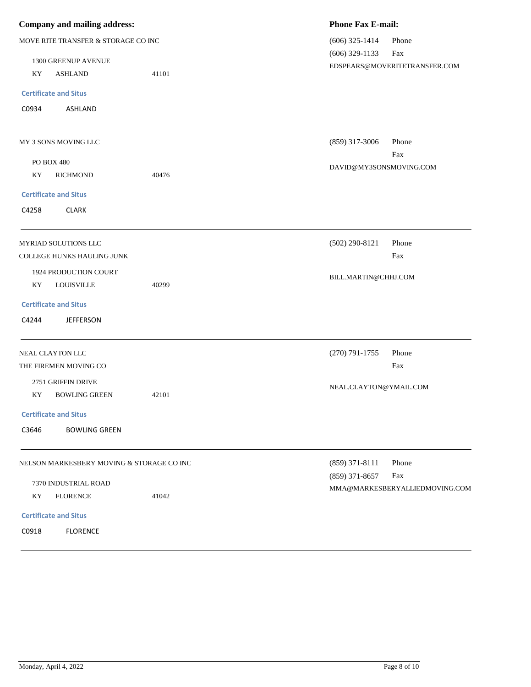| Company and mailing address:              |       | <b>Phone Fax E-mail:</b>                  |  |  |
|-------------------------------------------|-------|-------------------------------------------|--|--|
| MOVE RITE TRANSFER & STORAGE CO INC       |       | $(606)$ 325-1414<br>Phone                 |  |  |
| 1300 GREENUP AVENUE                       |       | $(606)$ 329-1133<br>Fax                   |  |  |
| KY<br><b>ASHLAND</b>                      | 41101 | EDSPEARS@MOVERITETRANSFER.COM             |  |  |
| <b>Certificate and Situs</b>              |       |                                           |  |  |
| C0934<br>ASHLAND                          |       |                                           |  |  |
| MY 3 SONS MOVING LLC                      |       | Phone<br>$(859)$ 317-3006                 |  |  |
| PO BOX 480                                |       | Fax                                       |  |  |
| KY<br><b>RICHMOND</b>                     | 40476 | DAVID@MY3SONSMOVING.COM                   |  |  |
| <b>Certificate and Situs</b>              |       |                                           |  |  |
| C4258<br><b>CLARK</b>                     |       |                                           |  |  |
| MYRIAD SOLUTIONS LLC                      |       | $(502)$ 290-8121<br>Phone                 |  |  |
| <b>COLLEGE HUNKS HAULING JUNK</b>         |       | Fax                                       |  |  |
| 1924 PRODUCTION COURT                     |       | BILL.MARTIN@CHHJ.COM                      |  |  |
| <b>LOUISVILLE</b><br>KY                   | 40299 |                                           |  |  |
| <b>Certificate and Situs</b>              |       |                                           |  |  |
| C4244<br><b>JEFFERSON</b>                 |       |                                           |  |  |
| NEAL CLAYTON LLC                          |       | $(270) 791 - 1755$<br>Phone               |  |  |
| THE FIREMEN MOVING CO                     |       | Fax                                       |  |  |
| 2751 GRIFFIN DRIVE                        |       | NEAL.CLAYTON@YMAIL.COM                    |  |  |
| <b>BOWLING GREEN</b><br>KY                | 42101 |                                           |  |  |
| <b>Certificate and Situs</b>              |       |                                           |  |  |
| C3646<br><b>BOWLING GREEN</b>             |       |                                           |  |  |
| NELSON MARKESBERY MOVING & STORAGE CO INC |       | $(859)$ 371-8111<br>Phone                 |  |  |
| 7370 INDUSTRIAL ROAD                      |       | $(859)$ 371-8657<br>Fax                   |  |  |
| KY<br><b>FLORENCE</b>                     | 41042 | $\verb+MMA@MARKESBERYALLIEDMOVING. COM\\$ |  |  |
| <b>Certificate and Situs</b>              |       |                                           |  |  |
| C0918<br><b>FLORENCE</b>                  |       |                                           |  |  |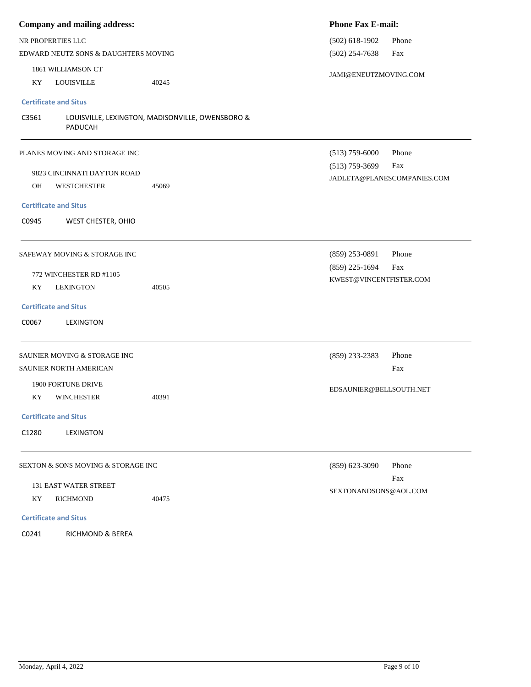| Company and mailing address:         |                                                  | <b>Phone Fax E-mail:</b>                             |                             |  |
|--------------------------------------|--------------------------------------------------|------------------------------------------------------|-----------------------------|--|
| NR PROPERTIES LLC                    |                                                  | $(502)$ 618-1902<br>Phone<br>$(502)$ 254-7638<br>Fax |                             |  |
| EDWARD NEUTZ SONS & DAUGHTERS MOVING |                                                  |                                                      |                             |  |
| 1861 WILLIAMSON CT                   |                                                  | JAMI@ENEUTZMOVING.COM                                |                             |  |
| <b>LOUISVILLE</b><br>KY              | 40245                                            |                                                      |                             |  |
| <b>Certificate and Situs</b>         |                                                  |                                                      |                             |  |
| C3561<br><b>PADUCAH</b>              | LOUISVILLE, LEXINGTON, MADISONVILLE, OWENSBORO & |                                                      |                             |  |
| PLANES MOVING AND STORAGE INC        |                                                  | $(513)$ 759-6000                                     | Phone                       |  |
| 9823 CINCINNATI DAYTON ROAD          |                                                  | $(513)$ 759-3699                                     | Fax                         |  |
| OH<br><b>WESTCHESTER</b>             | 45069                                            |                                                      | JADLETA@PLANESCOMPANIES.COM |  |
| <b>Certificate and Situs</b>         |                                                  |                                                      |                             |  |
| C0945<br>WEST CHESTER, OHIO          |                                                  |                                                      |                             |  |
| SAFEWAY MOVING & STORAGE INC         |                                                  | $(859)$ 253-0891                                     | Phone                       |  |
| 772 WINCHESTER RD #1105              |                                                  | $(859)$ 225-1694                                     | Fax                         |  |
| KY<br><b>LEXINGTON</b>               | 40505                                            | KWEST@VINCENTFISTER.COM                              |                             |  |
|                                      |                                                  |                                                      |                             |  |
| <b>Certificate and Situs</b>         |                                                  |                                                      |                             |  |
| C0067<br>LEXINGTON                   |                                                  |                                                      |                             |  |
| SAUNIER MOVING & STORAGE INC         |                                                  | $(859)$ 233-2383                                     | Phone                       |  |
| SAUNIER NORTH AMERICAN               |                                                  |                                                      | Fax                         |  |
| 1900 FORTUNE DRIVE                   |                                                  | EDSAUNIER@BELLSOUTH.NET                              |                             |  |
| <b>WINCHESTER</b><br>KY              | 40391                                            |                                                      |                             |  |
| <b>Certificate and Situs</b>         |                                                  |                                                      |                             |  |
| C1280<br>LEXINGTON                   |                                                  |                                                      |                             |  |
| SEXTON & SONS MOVING & STORAGE INC   |                                                  | $(859) 623 - 3090$                                   | Phone                       |  |
| <b>131 EAST WATER STREET</b>         |                                                  |                                                      | Fax                         |  |
| KY.<br><b>RICHMOND</b>               | 40475                                            | SEXTONANDSONS@AOL.COM                                |                             |  |
| <b>Certificate and Situs</b>         |                                                  |                                                      |                             |  |
| C0241<br>RICHMOND & BEREA            |                                                  |                                                      |                             |  |